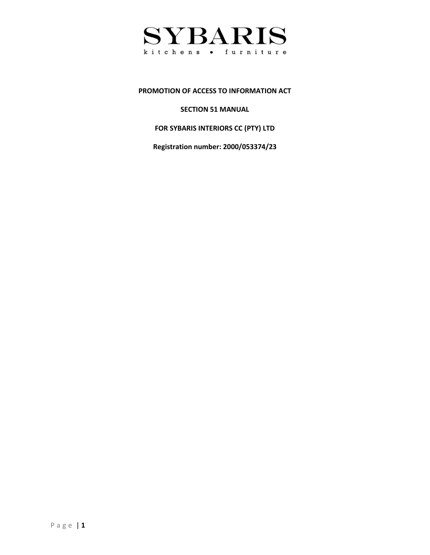

#### **PROMOTION OF ACCESS TO INFORMATION ACT**

**SECTION 51 MANUAL**

**FOR SYBARIS INTERIORS CC (PTY) LTD**

**Registration number: 2000/053374/23**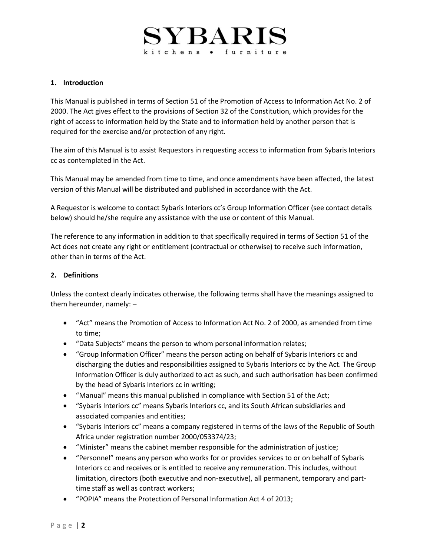# **1. Introduction**

This Manual is published in terms of Section 51 of the Promotion of Access to Information Act No. 2 of 2000. The Act gives effect to the provisions of Section 32 of the Constitution, which provides for the right of access to information held by the State and to information held by another person that is required for the exercise and/or protection of any right.

The aim of this Manual is to assist Requestors in requesting access to information from Sybaris Interiors cc as contemplated in the Act.

This Manual may be amended from time to time, and once amendments have been affected, the latest version of this Manual will be distributed and published in accordance with the Act.

A Requestor is welcome to contact Sybaris Interiors cc's Group Information Officer (see contact details below) should he/she require any assistance with the use or content of this Manual.

The reference to any information in addition to that specifically required in terms of Section 51 of the Act does not create any right or entitlement (contractual or otherwise) to receive such information, other than in terms of the Act.

## **2. Definitions**

Unless the context clearly indicates otherwise, the following terms shall have the meanings assigned to them hereunder, namely: –

- "Act" means the Promotion of Access to Information Act No. 2 of 2000, as amended from time to time;
- "Data Subjects" means the person to whom personal information relates;
- "Group Information Officer" means the person acting on behalf of Sybaris Interiors cc and discharging the duties and responsibilities assigned to Sybaris Interiors cc by the Act. The Group Information Officer is duly authorized to act as such, and such authorisation has been confirmed by the head of Sybaris Interiors cc in writing;
- "Manual" means this manual published in compliance with Section 51 of the Act;
- "Sybaris Interiors cc" means Sybaris Interiors cc, and its South African subsidiaries and associated companies and entities;
- "Sybaris Interiors cc" means a company registered in terms of the laws of the Republic of South Africa under registration number 2000/053374/23;
- "Minister" means the cabinet member responsible for the administration of justice;
- "Personnel" means any person who works for or provides services to or on behalf of Sybaris Interiors cc and receives or is entitled to receive any remuneration. This includes, without limitation, directors (both executive and non-executive), all permanent, temporary and parttime staff as well as contract workers;
- "POPIA" means the Protection of Personal Information Act 4 of 2013;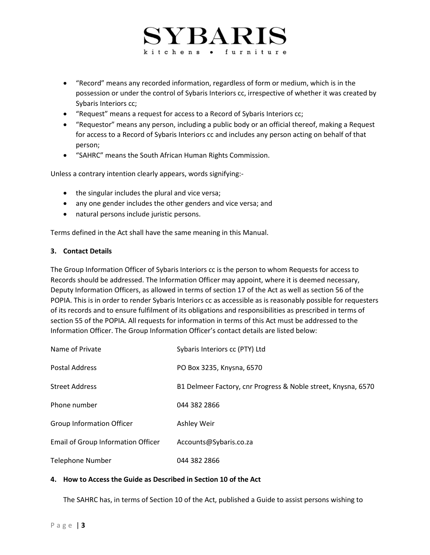# ${\rm SYBARIS}$ kitchens . furniture

- "Record" means any recorded information, regardless of form or medium, which is in the possession or under the control of Sybaris Interiors cc, irrespective of whether it was created by Sybaris Interiors cc;
- "Request" means a request for access to a Record of Sybaris Interiors cc;
- "Requestor" means any person, including a public body or an official thereof, making a Request for access to a Record of Sybaris Interiors cc and includes any person acting on behalf of that person;
- "SAHRC" means the South African Human Rights Commission.

Unless a contrary intention clearly appears, words signifying:-

- the singular includes the plural and vice versa;
- any one gender includes the other genders and vice versa; and
- natural persons include juristic persons.

Terms defined in the Act shall have the same meaning in this Manual.

### **3. Contact Details**

The Group Information Officer of Sybaris Interiors cc is the person to whom Requests for access to Records should be addressed. The Information Officer may appoint, where it is deemed necessary, Deputy Information Officers, as allowed in terms of section 17 of the Act as well as section 56 of the POPIA. This is in order to render Sybaris Interiors cc as accessible as is reasonably possible for requesters of its records and to ensure fulfilment of its obligations and responsibilities as prescribed in terms of section 55 of the POPIA. All requests for information in terms of this Act must be addressed to the Information Officer. The Group Information Officer's contact details are listed below:

| Name of Private                           | Sybaris Interiors cc (PTY) Ltd                                |
|-------------------------------------------|---------------------------------------------------------------|
| <b>Postal Address</b>                     | PO Box 3235, Knysna, 6570                                     |
| <b>Street Address</b>                     | B1 Delmeer Factory, cnr Progress & Noble street, Knysna, 6570 |
| Phone number                              | 044 382 2866                                                  |
| <b>Group Information Officer</b>          | Ashley Weir                                                   |
| <b>Email of Group Information Officer</b> | Accounts@Sybaris.co.za                                        |
| <b>Telephone Number</b>                   | 044 382 2866                                                  |

## **4. How to Access the Guide as Described in Section 10 of the Act**

The SAHRC has, in terms of Section 10 of the Act, published a Guide to assist persons wishing to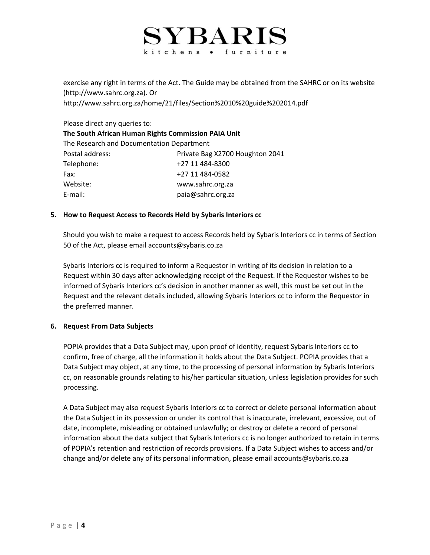# ${\rm SYBARI}$ kitchens . furniture

exercise any right in terms of the Act. The Guide may be obtained from the SAHRC or on its website (http://www.sahrc.org.za). Or http://www.sahrc.org.za/home/21/files/Section%2010%20guide%202014.pdf

Please direct any queries to:

| The South African Human Rights Commission PAIA Unit |                                 |  |  |
|-----------------------------------------------------|---------------------------------|--|--|
| The Research and Documentation Department           |                                 |  |  |
| Postal address:                                     | Private Bag X2700 Houghton 2041 |  |  |
| Telephone:                                          | +27 11 484-8300                 |  |  |
| Fax:                                                | +27 11 484-0582                 |  |  |
| Website:                                            | www.sahrc.org.za                |  |  |
| E-mail:                                             | paia@sahrc.org.za               |  |  |

# **5. How to Request Access to Records Held by Sybaris Interiors cc**

Should you wish to make a request to access Records held by Sybaris Interiors cc in terms of Section 50 of the Act, please email accounts@sybaris.co.za

Sybaris Interiors cc is required to inform a Requestor in writing of its decision in relation to a Request within 30 days after acknowledging receipt of the Request. If the Requestor wishes to be informed of Sybaris Interiors cc's decision in another manner as well, this must be set out in the Request and the relevant details included, allowing Sybaris Interiors cc to inform the Requestor in the preferred manner.

## **6. Request From Data Subjects**

POPIA provides that a Data Subject may, upon proof of identity, request Sybaris Interiors cc to confirm, free of charge, all the information it holds about the Data Subject. POPIA provides that a Data Subject may object, at any time, to the processing of personal information by Sybaris Interiors cc, on reasonable grounds relating to his/her particular situation, unless legislation provides for such processing.

A Data Subject may also request Sybaris Interiors cc to correct or delete personal information about the Data Subject in its possession or under its control that is inaccurate, irrelevant, excessive, out of date, incomplete, misleading or obtained unlawfully; or destroy or delete a record of personal information about the data subject that Sybaris Interiors cc is no longer authorized to retain in terms of POPIA's retention and restriction of records provisions. If a Data Subject wishes to access and/or change and/or delete any of its personal information, please email accounts@sybaris.co.za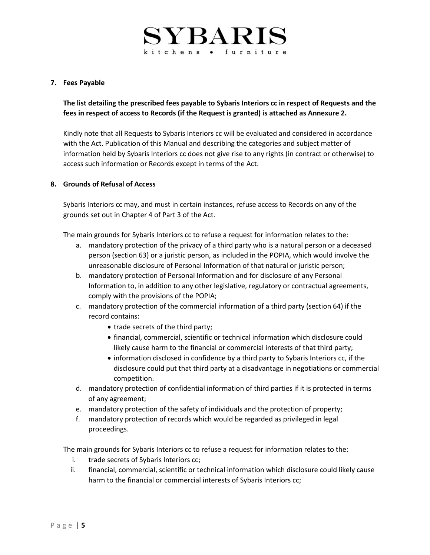# **7. Fees Payable**

**The list detailing the prescribed fees payable to Sybaris Interiors cc in respect of Requests and the fees in respect of access to Records (if the Request is granted) is attached as Annexure 2.**

Kindly note that all Requests to Sybaris Interiors cc will be evaluated and considered in accordance with the Act. Publication of this Manual and describing the categories and subject matter of information held by Sybaris Interiors cc does not give rise to any rights (in contract or otherwise) to access such information or Records except in terms of the Act.

## **8. Grounds of Refusal of Access**

Sybaris Interiors cc may, and must in certain instances, refuse access to Records on any of the grounds set out in Chapter 4 of Part 3 of the Act.

The main grounds for Sybaris Interiors cc to refuse a request for information relates to the:

- a. mandatory protection of the privacy of a third party who is a natural person or a deceased person (section 63) or a juristic person, as included in the POPIA, which would involve the unreasonable disclosure of Personal Information of that natural or juristic person;
- b. mandatory protection of Personal Information and for disclosure of any Personal Information to, in addition to any other legislative, regulatory or contractual agreements, comply with the provisions of the POPIA;
- c. mandatory protection of the commercial information of a third party (section 64) if the record contains:
	- trade secrets of the third party;
	- financial, commercial, scientific or technical information which disclosure could likely cause harm to the financial or commercial interests of that third party;
	- information disclosed in confidence by a third party to Sybaris Interiors cc, if the disclosure could put that third party at a disadvantage in negotiations or commercial competition.
- d. mandatory protection of confidential information of third parties if it is protected in terms of any agreement;
- e. mandatory protection of the safety of individuals and the protection of property;
- f. mandatory protection of records which would be regarded as privileged in legal proceedings.

The main grounds for Sybaris Interiors cc to refuse a request for information relates to the:

- i. trade secrets of Sybaris Interiors cc;
- ii. financial, commercial, scientific or technical information which disclosure could likely cause harm to the financial or commercial interests of Sybaris Interiors cc;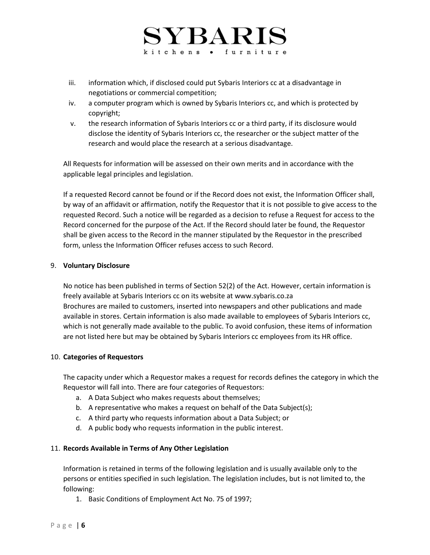- iii. information which, if disclosed could put Sybaris Interiors cc at a disadvantage in negotiations or commercial competition;
- iv. a computer program which is owned by Sybaris Interiors cc, and which is protected by copyright;
- v. the research information of Sybaris Interiors cc or a third party, if its disclosure would disclose the identity of Sybaris Interiors cc, the researcher or the subject matter of the research and would place the research at a serious disadvantage.

All Requests for information will be assessed on their own merits and in accordance with the applicable legal principles and legislation.

If a requested Record cannot be found or if the Record does not exist, the Information Officer shall, by way of an affidavit or affirmation, notify the Requestor that it is not possible to give access to the requested Record. Such a notice will be regarded as a decision to refuse a Request for access to the Record concerned for the purpose of the Act. If the Record should later be found, the Requestor shall be given access to the Record in the manner stipulated by the Requestor in the prescribed form, unless the Information Officer refuses access to such Record.

## 9. **Voluntary Disclosure**

No notice has been published in terms of Section 52(2) of the Act. However, certain information is freely available at Sybaris Interiors cc on its website at www.sybaris.co.za Brochures are mailed to customers, inserted into newspapers and other publications and made available in stores. Certain information is also made available to employees of Sybaris Interiors cc, which is not generally made available to the public. To avoid confusion, these items of information are not listed here but may be obtained by Sybaris Interiors cc employees from its HR office.

# 10. **Categories of Requestors**

The capacity under which a Requestor makes a request for records defines the category in which the Requestor will fall into. There are four categories of Requestors:

- a. A Data Subject who makes requests about themselves;
- b. A representative who makes a request on behalf of the Data Subject(s);
- c. A third party who requests information about a Data Subject; or
- d. A public body who requests information in the public interest.

## 11. **Records Available in Terms of Any Other Legislation**

Information is retained in terms of the following legislation and is usually available only to the persons or entities specified in such legislation. The legislation includes, but is not limited to, the following:

1. Basic Conditions of Employment Act No. 75 of 1997;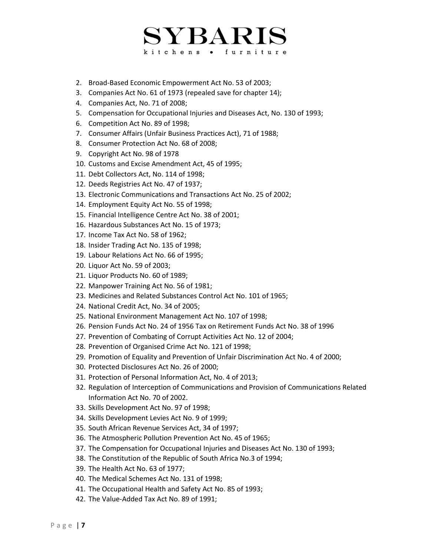- 2. Broad-Based Economic Empowerment Act No. 53 of 2003;
- 3. Companies Act No. 61 of 1973 (repealed save for chapter 14);
- 4. Companies Act, No. 71 of 2008;
- 5. Compensation for Occupational Injuries and Diseases Act, No. 130 of 1993;
- 6. Competition Act No. 89 of 1998;
- 7. Consumer Affairs (Unfair Business Practices Act), 71 of 1988;
- 8. Consumer Protection Act No. 68 of 2008;
- 9. Copyright Act No. 98 of 1978
- 10. Customs and Excise Amendment Act, 45 of 1995;
- 11. Debt Collectors Act, No. 114 of 1998;
- 12. Deeds Registries Act No. 47 of 1937;
- 13. Electronic Communications and Transactions Act No. 25 of 2002;
- 14. Employment Equity Act No. 55 of 1998;
- 15. Financial Intelligence Centre Act No. 38 of 2001;
- 16. Hazardous Substances Act No. 15 of 1973;
- 17. Income Tax Act No. 58 of 1962;
- 18. Insider Trading Act No. 135 of 1998;
- 19. Labour Relations Act No. 66 of 1995;
- 20. Liquor Act No. 59 of 2003;
- 21. Liquor Products No. 60 of 1989;
- 22. Manpower Training Act No. 56 of 1981;
- 23. Medicines and Related Substances Control Act No. 101 of 1965;
- 24. National Credit Act, No. 34 of 2005;
- 25. National Environment Management Act No. 107 of 1998;
- 26. Pension Funds Act No. 24 of 1956 Tax on Retirement Funds Act No. 38 of 1996
- 27. Prevention of Combating of Corrupt Activities Act No. 12 of 2004;
- 28. Prevention of Organised Crime Act No. 121 of 1998;
- 29. Promotion of Equality and Prevention of Unfair Discrimination Act No. 4 of 2000;
- 30. Protected Disclosures Act No. 26 of 2000;
- 31. Protection of Personal Information Act, No. 4 of 2013;
- 32. Regulation of Interception of Communications and Provision of Communications Related Information Act No. 70 of 2002.
- 33. Skills Development Act No. 97 of 1998;
- 34. Skills Development Levies Act No. 9 of 1999;
- 35. South African Revenue Services Act, 34 of 1997;
- 36. The Atmospheric Pollution Prevention Act No. 45 of 1965;
- 37. The Compensation for Occupational Injuries and Diseases Act No. 130 of 1993;
- 38. The Constitution of the Republic of South Africa No.3 of 1994;
- 39. The Health Act No. 63 of 1977;
- 40. The Medical Schemes Act No. 131 of 1998;
- 41. The Occupational Health and Safety Act No. 85 of 1993;
- 42. The Value-Added Tax Act No. 89 of 1991;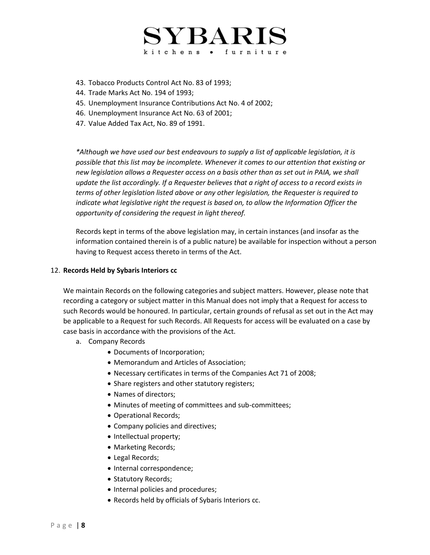

- 43. Tobacco Products Control Act No. 83 of 1993;
- 44. Trade Marks Act No. 194 of 1993;
- 45. Unemployment Insurance Contributions Act No. 4 of 2002;
- 46. Unemployment Insurance Act No. 63 of 2001;
- 47. Value Added Tax Act, No. 89 of 1991.

*\*Although we have used our best endeavours to supply a list of applicable legislation, it is possible that this list may be incomplete. Whenever it comes to our attention that existing or new legislation allows a Requester access on a basis other than as set out in PAIA, we shall update the list accordingly. If a Requester believes that a right of access to a record exists in terms of other legislation listed above or any other legislation, the Requester is required to indicate what legislative right the request is based on, to allow the Information Officer the opportunity of considering the request in light thereof.*

Records kept in terms of the above legislation may, in certain instances (and insofar as the information contained therein is of a public nature) be available for inspection without a person having to Request access thereto in terms of the Act.

#### 12. **Records Held by Sybaris Interiors cc**

We maintain Records on the following categories and subject matters. However, please note that recording a category or subject matter in this Manual does not imply that a Request for access to such Records would be honoured. In particular, certain grounds of refusal as set out in the Act may be applicable to a Request for such Records. All Requests for access will be evaluated on a case by case basis in accordance with the provisions of the Act.

- a. Company Records
	- Documents of Incorporation;
	- Memorandum and Articles of Association;
	- Necessary certificates in terms of the Companies Act 71 of 2008;
	- Share registers and other statutory registers;
	- Names of directors;
	- Minutes of meeting of committees and sub-committees;
	- Operational Records;
	- Company policies and directives;
	- Intellectual property;
	- Marketing Records;
	- Legal Records;
	- Internal correspondence;
	- Statutory Records;
	- Internal policies and procedures;
	- Records held by officials of Sybaris Interiors cc.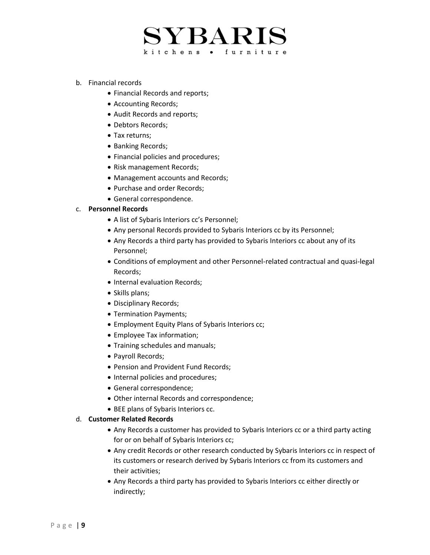- b. Financial records
	- Financial Records and reports;
	- Accounting Records;
	- Audit Records and reports;
	- Debtors Records;
	- Tax returns;
	- Banking Records;
	- Financial policies and procedures;
	- Risk management Records;
	- Management accounts and Records;
	- Purchase and order Records;
	- General correspondence.

#### c. **Personnel Records**

- A list of Sybaris Interiors cc's Personnel;
- Any personal Records provided to Sybaris Interiors cc by its Personnel;
- Any Records a third party has provided to Sybaris Interiors cc about any of its Personnel;
- Conditions of employment and other Personnel-related contractual and quasi-legal Records;
- Internal evaluation Records;
- Skills plans;
- Disciplinary Records;
- Termination Payments;
- Employment Equity Plans of Sybaris Interiors cc;
- Employee Tax information;
- Training schedules and manuals;
- Payroll Records;
- Pension and Provident Fund Records;
- Internal policies and procedures;
- General correspondence;
- Other internal Records and correspondence;
- BEE plans of Sybaris Interiors cc.

### d. **Customer Related Records**

- Any Records a customer has provided to Sybaris Interiors cc or a third party acting for or on behalf of Sybaris Interiors cc;
- Any credit Records or other research conducted by Sybaris Interiors cc in respect of its customers or research derived by Sybaris Interiors cc from its customers and their activities;
- Any Records a third party has provided to Sybaris Interiors cc either directly or indirectly;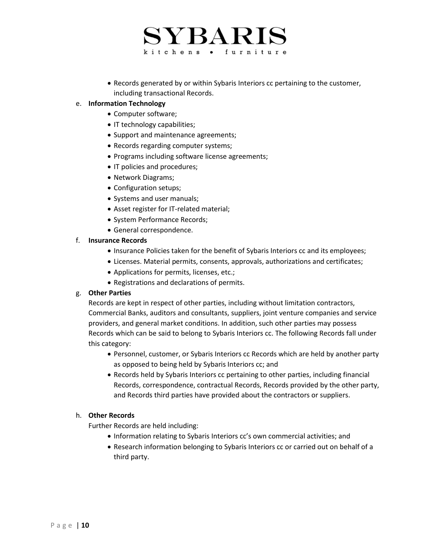# ${\rm SYBARIS}$ kitchens . furniture

• Records generated by or within Sybaris Interiors cc pertaining to the customer, including transactional Records.

## e. **Information Technology**

- Computer software;
- IT technology capabilities;
- Support and maintenance agreements;
- Records regarding computer systems;
- Programs including software license agreements;
- IT policies and procedures;
- Network Diagrams;
- Configuration setups;
- Systems and user manuals;
- Asset register for IT-related material;
- System Performance Records;
- General correspondence.

## f. **Insurance Records**

- Insurance Policies taken for the benefit of Sybaris Interiors cc and its employees;
- Licenses. Material permits, consents, approvals, authorizations and certificates;
- Applications for permits, licenses, etc.;
- Registrations and declarations of permits.

## g. **Other Parties**

Records are kept in respect of other parties, including without limitation contractors, Commercial Banks, auditors and consultants, suppliers, joint venture companies and service providers, and general market conditions. In addition, such other parties may possess Records which can be said to belong to Sybaris Interiors cc. The following Records fall under this category:

- Personnel, customer, or Sybaris Interiors cc Records which are held by another party as opposed to being held by Sybaris Interiors cc; and
- Records held by Sybaris Interiors cc pertaining to other parties, including financial Records, correspondence, contractual Records, Records provided by the other party, and Records third parties have provided about the contractors or suppliers.

# h. **Other Records**

Further Records are held including:

- Information relating to Sybaris Interiors cc's own commercial activities; and
- Research information belonging to Sybaris Interiors cc or carried out on behalf of a third party.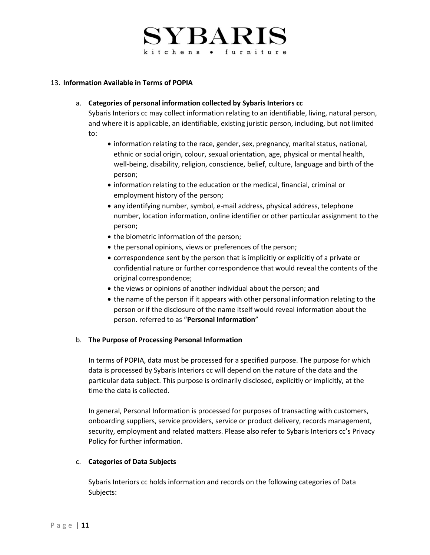# ${\rm SYBARIS}$ kitchens • furniture

## 13. **Information Available in Terms of POPIA**

### a. **Categories of personal information collected by Sybaris Interiors cc**

Sybaris Interiors cc may collect information relating to an identifiable, living, natural person, and where it is applicable, an identifiable, existing juristic person, including, but not limited to:

- information relating to the race, gender, sex, pregnancy, marital status, national, ethnic or social origin, colour, sexual orientation, age, physical or mental health, well-being, disability, religion, conscience, belief, culture, language and birth of the person;
- information relating to the education or the medical, financial, criminal or employment history of the person;
- any identifying number, symbol, e-mail address, physical address, telephone number, location information, online identifier or other particular assignment to the person;
- the biometric information of the person;
- the personal opinions, views or preferences of the person;
- correspondence sent by the person that is implicitly or explicitly of a private or confidential nature or further correspondence that would reveal the contents of the original correspondence;
- the views or opinions of another individual about the person; and
- the name of the person if it appears with other personal information relating to the person or if the disclosure of the name itself would reveal information about the person. referred to as "**Personal Information**"

## b. **The Purpose of Processing Personal Information**

In terms of POPIA, data must be processed for a specified purpose. The purpose for which data is processed by Sybaris Interiors cc will depend on the nature of the data and the particular data subject. This purpose is ordinarily disclosed, explicitly or implicitly, at the time the data is collected.

In general, Personal Information is processed for purposes of transacting with customers, onboarding suppliers, service providers, service or product delivery, records management, security, employment and related matters. Please also refer to Sybaris Interiors cc's Privacy Policy for further information.

## c. **Categories of Data Subjects**

Sybaris Interiors cc holds information and records on the following categories of Data Subjects: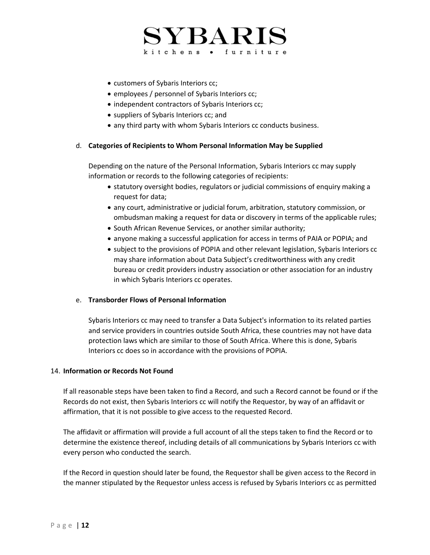- customers of Sybaris Interiors cc;
- employees / personnel of Sybaris Interiors cc;
- independent contractors of Sybaris Interiors cc;
- suppliers of Sybaris Interiors cc; and
- any third party with whom Sybaris Interiors cc conducts business.

## d. **Categories of Recipients to Whom Personal Information May be Supplied**

Depending on the nature of the Personal Information, Sybaris Interiors cc may supply information or records to the following categories of recipients:

- statutory oversight bodies, regulators or judicial commissions of enquiry making a request for data;
- any court, administrative or judicial forum, arbitration, statutory commission, or ombudsman making a request for data or discovery in terms of the applicable rules;
- South African Revenue Services, or another similar authority;
- anyone making a successful application for access in terms of PAIA or POPIA; and
- subject to the provisions of POPIA and other relevant legislation, Sybaris Interiors cc may share information about Data Subject's creditworthiness with any credit bureau or credit providers industry association or other association for an industry in which Sybaris Interiors cc operates.

## e. **Transborder Flows of Personal Information**

Sybaris Interiors cc may need to transfer a Data Subject's information to its related parties and service providers in countries outside South Africa, these countries may not have data protection laws which are similar to those of South Africa. Where this is done, Sybaris Interiors cc does so in accordance with the provisions of POPIA.

## 14. **Information or Records Not Found**

If all reasonable steps have been taken to find a Record, and such a Record cannot be found or if the Records do not exist, then Sybaris Interiors cc will notify the Requestor, by way of an affidavit or affirmation, that it is not possible to give access to the requested Record.

The affidavit or affirmation will provide a full account of all the steps taken to find the Record or to determine the existence thereof, including details of all communications by Sybaris Interiors cc with every person who conducted the search.

If the Record in question should later be found, the Requestor shall be given access to the Record in the manner stipulated by the Requestor unless access is refused by Sybaris Interiors cc as permitted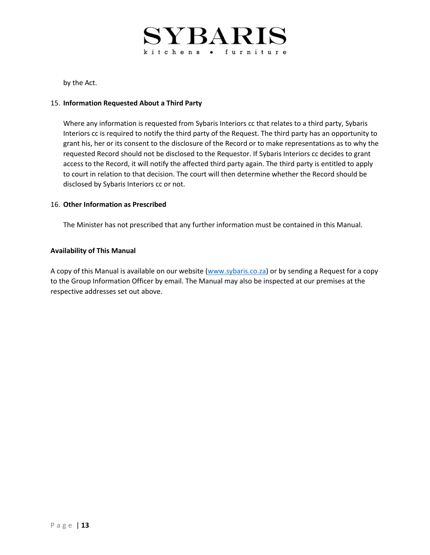

by the Act.

#### 15. **Information Requested About a Third Party**

Where any information is requested from Sybaris Interiors cc that relates to a third party, Sybaris Interiors cc is required to notify the third party of the Request. The third party has an opportunity to grant his, her or its consent to the disclosure of the Record or to make representations as to why the requested Record should not be disclosed to the Requestor. If Sybaris Interiors cc decides to grant access to the Record, it will notify the affected third party again. The third party is entitled to apply to court in relation to that decision. The court will then determine whether the Record should be disclosed by Sybaris Interiors cc or not.

### 16. **Other Information as Prescribed**

The Minister has not prescribed that any further information must be contained in this Manual.

### **Availability of This Manual**

A copy of this Manual is available on our website [\(www.sybaris.co.za\)](http://www.sybaris.co.za/) or by sending a Request for a copy to the Group Information Officer by email. The Manual may also be inspected at our premises at the respective addresses set out above.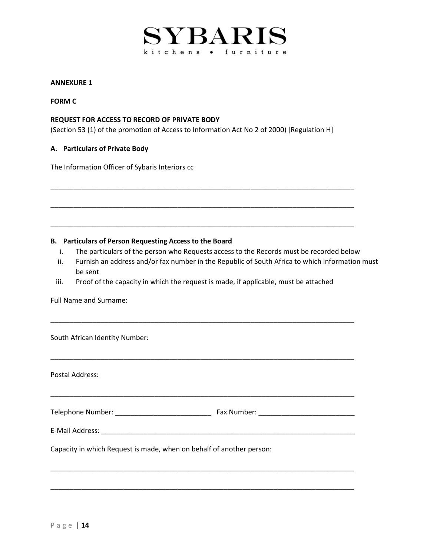

### **ANNEXURE 1**

### **FORM C**

### **REQUEST FOR ACCESS TO RECORD OF PRIVATE BODY**

(Section 53 (1) of the promotion of Access to Information Act No 2 of 2000) [Regulation H]

### **A. Particulars of Private Body**

The Information Officer of Sybaris Interiors cc

### **B. Particulars of Person Requesting Access to the Board**

i. The particulars of the person who Requests access to the Records must be recorded below

\_\_\_\_\_\_\_\_\_\_\_\_\_\_\_\_\_\_\_\_\_\_\_\_\_\_\_\_\_\_\_\_\_\_\_\_\_\_\_\_\_\_\_\_\_\_\_\_\_\_\_\_\_\_\_\_\_\_\_\_\_\_\_\_\_\_\_\_\_\_\_\_\_\_\_\_\_\_\_

\_\_\_\_\_\_\_\_\_\_\_\_\_\_\_\_\_\_\_\_\_\_\_\_\_\_\_\_\_\_\_\_\_\_\_\_\_\_\_\_\_\_\_\_\_\_\_\_\_\_\_\_\_\_\_\_\_\_\_\_\_\_\_\_\_\_\_\_\_\_\_\_\_\_\_\_\_\_\_

\_\_\_\_\_\_\_\_\_\_\_\_\_\_\_\_\_\_\_\_\_\_\_\_\_\_\_\_\_\_\_\_\_\_\_\_\_\_\_\_\_\_\_\_\_\_\_\_\_\_\_\_\_\_\_\_\_\_\_\_\_\_\_\_\_\_\_\_\_\_\_\_\_\_\_\_\_\_\_

- ii. Furnish an address and/or fax number in the Republic of South Africa to which information must be sent
- iii. Proof of the capacity in which the request is made, if applicable, must be attached

\_\_\_\_\_\_\_\_\_\_\_\_\_\_\_\_\_\_\_\_\_\_\_\_\_\_\_\_\_\_\_\_\_\_\_\_\_\_\_\_\_\_\_\_\_\_\_\_\_\_\_\_\_\_\_\_\_\_\_\_\_\_\_\_\_\_\_\_\_\_\_\_\_\_\_\_\_\_\_

\_\_\_\_\_\_\_\_\_\_\_\_\_\_\_\_\_\_\_\_\_\_\_\_\_\_\_\_\_\_\_\_\_\_\_\_\_\_\_\_\_\_\_\_\_\_\_\_\_\_\_\_\_\_\_\_\_\_\_\_\_\_\_\_\_\_\_\_\_\_\_\_\_\_\_\_\_\_\_

Full Name and Surname:

South African Identity Number:

Postal Address: \_\_\_\_\_\_\_\_\_\_\_\_\_\_\_\_\_\_\_\_\_\_\_\_\_\_\_\_\_\_\_\_\_\_\_\_\_\_\_\_\_\_\_\_\_\_\_\_\_\_\_\_\_\_\_\_\_\_\_\_\_\_\_\_\_\_\_\_\_\_\_\_\_\_\_\_\_\_\_ Telephone Number: \_\_\_\_\_\_\_\_\_\_\_\_\_\_\_\_\_\_\_\_\_\_\_\_\_ Fax Number: \_\_\_\_\_\_\_\_\_\_\_\_\_\_\_\_\_\_\_\_\_\_\_\_\_ E-Mail Address: \_\_\_\_\_\_\_\_\_\_\_\_\_\_\_\_\_\_\_\_\_\_\_\_\_\_\_\_\_\_\_\_\_\_\_\_\_\_\_\_\_\_\_\_\_\_\_\_\_\_\_\_\_\_\_\_\_\_\_\_\_\_\_\_\_\_ Capacity in which Request is made, when on behalf of another person: \_\_\_\_\_\_\_\_\_\_\_\_\_\_\_\_\_\_\_\_\_\_\_\_\_\_\_\_\_\_\_\_\_\_\_\_\_\_\_\_\_\_\_\_\_\_\_\_\_\_\_\_\_\_\_\_\_\_\_\_\_\_\_\_\_\_\_\_\_\_\_\_\_\_\_\_\_\_\_

\_\_\_\_\_\_\_\_\_\_\_\_\_\_\_\_\_\_\_\_\_\_\_\_\_\_\_\_\_\_\_\_\_\_\_\_\_\_\_\_\_\_\_\_\_\_\_\_\_\_\_\_\_\_\_\_\_\_\_\_\_\_\_\_\_\_\_\_\_\_\_\_\_\_\_\_\_\_\_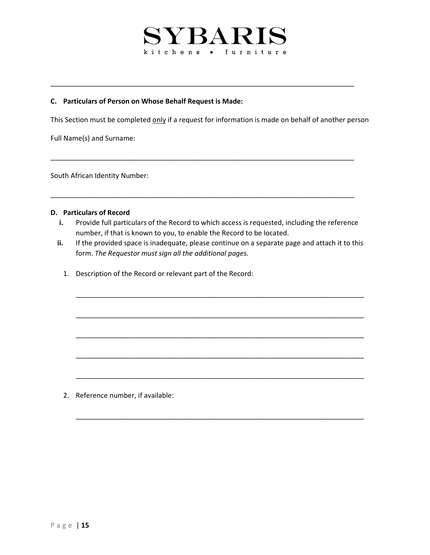### **C. Particulars of Person on Whose Behalf Request is Made:**

This Section must be completed only if a request for information is made on behalf of another person

\_\_\_\_\_\_\_\_\_\_\_\_\_\_\_\_\_\_\_\_\_\_\_\_\_\_\_\_\_\_\_\_\_\_\_\_\_\_\_\_\_\_\_\_\_\_\_\_\_\_\_\_\_\_\_\_\_\_\_\_\_\_\_\_\_\_\_\_\_\_\_\_\_\_\_\_\_\_\_

\_\_\_\_\_\_\_\_\_\_\_\_\_\_\_\_\_\_\_\_\_\_\_\_\_\_\_\_\_\_\_\_\_\_\_\_\_\_\_\_\_\_\_\_\_\_\_\_\_\_\_\_\_\_\_\_\_\_\_\_\_\_\_\_\_\_\_\_\_\_\_\_\_\_\_\_\_\_\_

\_\_\_\_\_\_\_\_\_\_\_\_\_\_\_\_\_\_\_\_\_\_\_\_\_\_\_\_\_\_\_\_\_\_\_\_\_\_\_\_\_\_\_\_\_\_\_\_\_\_\_\_\_\_\_\_\_\_\_\_\_\_\_\_\_\_\_\_\_\_\_\_\_\_\_\_\_\_\_

Full Name(s) and Surname:

South African Identity Number:

### **D. Particulars of Record**

- **i.** Provide full particulars of the Record to which access is requested, including the reference number, if that is known to you, to enable the Record to be located.
- **ii.** If the provided space is inadequate, please continue on a separate page and attach it to this form. *The Requestor must sign all the additional pages.*

\_\_\_\_\_\_\_\_\_\_\_\_\_\_\_\_\_\_\_\_\_\_\_\_\_\_\_\_\_\_\_\_\_\_\_\_\_\_\_\_\_\_\_\_\_\_\_\_\_\_\_\_\_\_\_\_\_\_\_\_\_\_\_\_\_\_\_\_\_\_\_\_\_\_\_

\_\_\_\_\_\_\_\_\_\_\_\_\_\_\_\_\_\_\_\_\_\_\_\_\_\_\_\_\_\_\_\_\_\_\_\_\_\_\_\_\_\_\_\_\_\_\_\_\_\_\_\_\_\_\_\_\_\_\_\_\_\_\_\_\_\_\_\_\_\_\_\_\_\_\_

\_\_\_\_\_\_\_\_\_\_\_\_\_\_\_\_\_\_\_\_\_\_\_\_\_\_\_\_\_\_\_\_\_\_\_\_\_\_\_\_\_\_\_\_\_\_\_\_\_\_\_\_\_\_\_\_\_\_\_\_\_\_\_\_\_\_\_\_\_\_\_\_\_\_\_

\_\_\_\_\_\_\_\_\_\_\_\_\_\_\_\_\_\_\_\_\_\_\_\_\_\_\_\_\_\_\_\_\_\_\_\_\_\_\_\_\_\_\_\_\_\_\_\_\_\_\_\_\_\_\_\_\_\_\_\_\_\_\_\_\_\_\_\_\_\_\_\_\_\_\_

\_\_\_\_\_\_\_\_\_\_\_\_\_\_\_\_\_\_\_\_\_\_\_\_\_\_\_\_\_\_\_\_\_\_\_\_\_\_\_\_\_\_\_\_\_\_\_\_\_\_\_\_\_\_\_\_\_\_\_\_\_\_\_\_\_\_\_\_\_\_\_\_\_\_\_

\_\_\_\_\_\_\_\_\_\_\_\_\_\_\_\_\_\_\_\_\_\_\_\_\_\_\_\_\_\_\_\_\_\_\_\_\_\_\_\_\_\_\_\_\_\_\_\_\_\_\_\_\_\_\_\_\_\_\_\_\_\_\_\_\_\_\_\_\_\_\_\_\_\_\_

1. Description of the Record or relevant part of the Record:

2. Reference number, if available: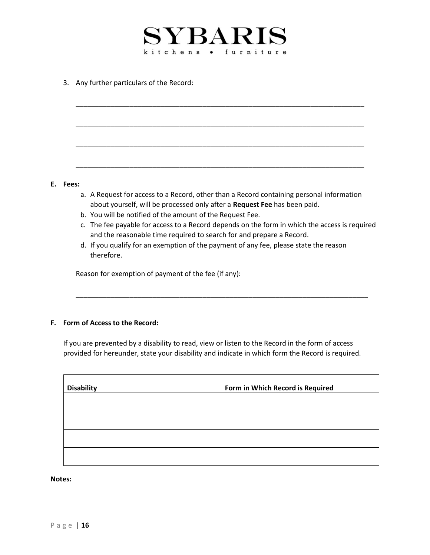

\_\_\_\_\_\_\_\_\_\_\_\_\_\_\_\_\_\_\_\_\_\_\_\_\_\_\_\_\_\_\_\_\_\_\_\_\_\_\_\_\_\_\_\_\_\_\_\_\_\_\_\_\_\_\_\_\_\_\_\_\_\_\_\_\_\_\_\_\_\_\_\_\_\_\_

\_\_\_\_\_\_\_\_\_\_\_\_\_\_\_\_\_\_\_\_\_\_\_\_\_\_\_\_\_\_\_\_\_\_\_\_\_\_\_\_\_\_\_\_\_\_\_\_\_\_\_\_\_\_\_\_\_\_\_\_\_\_\_\_\_\_\_\_\_\_\_\_\_\_\_

\_\_\_\_\_\_\_\_\_\_\_\_\_\_\_\_\_\_\_\_\_\_\_\_\_\_\_\_\_\_\_\_\_\_\_\_\_\_\_\_\_\_\_\_\_\_\_\_\_\_\_\_\_\_\_\_\_\_\_\_\_\_\_\_\_\_\_\_\_\_\_\_\_\_\_

\_\_\_\_\_\_\_\_\_\_\_\_\_\_\_\_\_\_\_\_\_\_\_\_\_\_\_\_\_\_\_\_\_\_\_\_\_\_\_\_\_\_\_\_\_\_\_\_\_\_\_\_\_\_\_\_\_\_\_\_\_\_\_\_\_\_\_\_\_\_\_\_\_\_\_

3. Any further particulars of the Record:

#### **E. Fees:**

- a. A Request for access to a Record, other than a Record containing personal information about yourself, will be processed only after a **Request Fee** has been paid.
- b. You will be notified of the amount of the Request Fee.
- c. The fee payable for access to a Record depends on the form in which the access is required and the reasonable time required to search for and prepare a Record.
- d. If you qualify for an exemption of the payment of any fee, please state the reason therefore.

\_\_\_\_\_\_\_\_\_\_\_\_\_\_\_\_\_\_\_\_\_\_\_\_\_\_\_\_\_\_\_\_\_\_\_\_\_\_\_\_\_\_\_\_\_\_\_\_\_\_\_\_\_\_\_\_\_\_\_\_\_\_\_\_\_\_\_\_\_\_\_\_\_\_\_\_

Reason for exemption of payment of the fee (if any):

## **F. Form of Access to the Record:**

If you are prevented by a disability to read, view or listen to the Record in the form of access provided for hereunder, state your disability and indicate in which form the Record is required.

| <b>Disability</b> | Form in Which Record is Required |
|-------------------|----------------------------------|
|                   |                                  |
|                   |                                  |
|                   |                                  |
|                   |                                  |

#### **Notes:**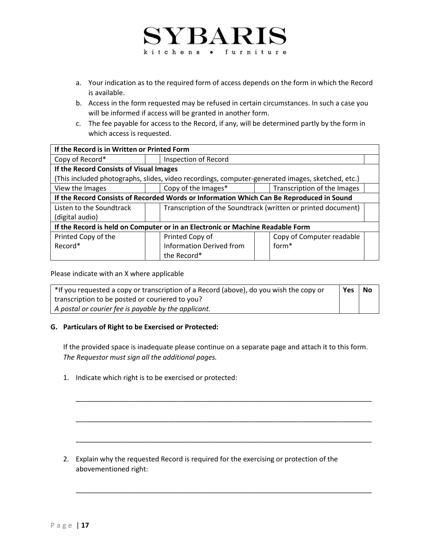- a. Your indication as to the required form of access depends on the form in which the Record is available.
- b. Access in the form requested may be refused in certain circumstances. In such a case you will be informed if access will be granted in another form.
- c. The fee payable for access to the Record, if any, will be determined partly by the form in which access is requested.

| If the Record is in Written or Printed Form                                                      |  |                                                               |                             |  |
|--------------------------------------------------------------------------------------------------|--|---------------------------------------------------------------|-----------------------------|--|
| Copy of Record*                                                                                  |  | Inspection of Record                                          |                             |  |
| If the Record Consists of Visual Images                                                          |  |                                                               |                             |  |
| (This included photographs, slides, video recordings, computer-generated images, sketched, etc.) |  |                                                               |                             |  |
| View the Images                                                                                  |  | Copy of the Images*                                           | Transcription of the Images |  |
| If the Record Consists of Recorded Words or Information Which Can Be Reproduced in Sound         |  |                                                               |                             |  |
| Listen to the Soundtrack                                                                         |  | Transcription of the Soundtrack (written or printed document) |                             |  |
| (digital audio)                                                                                  |  |                                                               |                             |  |
| If the Record is held on Computer or in an Electronic or Machine Readable Form                   |  |                                                               |                             |  |
| Printed Copy of the                                                                              |  | Printed Copy of                                               | Copy of Computer readable   |  |
| Record*                                                                                          |  | <b>Information Derived from</b>                               | $form*$                     |  |
|                                                                                                  |  | the Record*                                                   |                             |  |

Please indicate with an X where applicable

| *If you requested a copy or transcription of a Record (above), do you wish the copy or | Yes | No |
|----------------------------------------------------------------------------------------|-----|----|
| transcription to be posted or couriered to you?                                        |     |    |
| A postal or courier fee is payable by the applicant.                                   |     |    |

## **G. Particulars of Right to be Exercised or Protected:**

If the provided space is inadequate please continue on a separate page and attach it to this form. *The Requestor must sign all the additional pages.*

\_\_\_\_\_\_\_\_\_\_\_\_\_\_\_\_\_\_\_\_\_\_\_\_\_\_\_\_\_\_\_\_\_\_\_\_\_\_\_\_\_\_\_\_\_\_\_\_\_\_\_\_\_\_\_\_\_\_\_\_\_\_\_\_\_\_\_\_\_\_\_\_\_\_\_\_\_

\_\_\_\_\_\_\_\_\_\_\_\_\_\_\_\_\_\_\_\_\_\_\_\_\_\_\_\_\_\_\_\_\_\_\_\_\_\_\_\_\_\_\_\_\_\_\_\_\_\_\_\_\_\_\_\_\_\_\_\_\_\_\_\_\_\_\_\_\_\_\_\_\_\_\_\_\_

\_\_\_\_\_\_\_\_\_\_\_\_\_\_\_\_\_\_\_\_\_\_\_\_\_\_\_\_\_\_\_\_\_\_\_\_\_\_\_\_\_\_\_\_\_\_\_\_\_\_\_\_\_\_\_\_\_\_\_\_\_\_\_\_\_\_\_\_\_\_\_\_\_\_\_\_\_

\_\_\_\_\_\_\_\_\_\_\_\_\_\_\_\_\_\_\_\_\_\_\_\_\_\_\_\_\_\_\_\_\_\_\_\_\_\_\_\_\_\_\_\_\_\_\_\_\_\_\_\_\_\_\_\_\_\_\_\_\_\_\_\_\_\_\_\_\_\_\_\_\_\_\_\_\_

1. Indicate which right is to be exercised or protected:

2. Explain why the requested Record is required for the exercising or protection of the abovementioned right: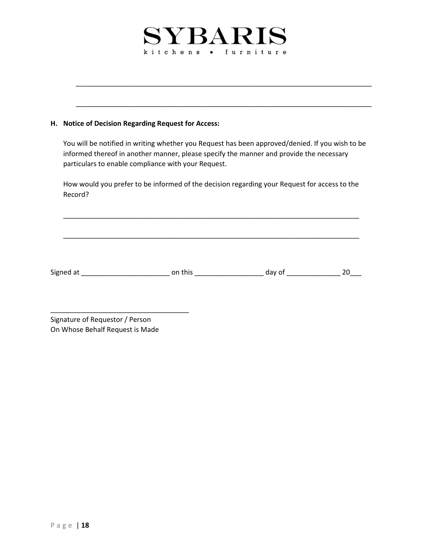\_\_\_\_\_\_\_\_\_\_\_\_\_\_\_\_\_\_\_\_\_\_\_\_\_\_\_\_\_\_\_\_\_\_\_\_\_\_\_\_\_\_\_\_\_\_\_\_\_\_\_\_\_\_\_\_\_\_\_\_\_\_\_\_\_\_\_\_\_\_\_\_\_\_\_\_\_

\_\_\_\_\_\_\_\_\_\_\_\_\_\_\_\_\_\_\_\_\_\_\_\_\_\_\_\_\_\_\_\_\_\_\_\_\_\_\_\_\_\_\_\_\_\_\_\_\_\_\_\_\_\_\_\_\_\_\_\_\_\_\_\_\_\_\_\_\_\_\_\_\_\_\_\_\_

# **H. Notice of Decision Regarding Request for Access:**

You will be notified in writing whether you Request has been approved/denied. If you wish to be informed thereof in another manner, please specify the manner and provide the necessary particulars to enable compliance with your Request.

How would you prefer to be informed of the decision regarding your Request for access to the Record?

\_\_\_\_\_\_\_\_\_\_\_\_\_\_\_\_\_\_\_\_\_\_\_\_\_\_\_\_\_\_\_\_\_\_\_\_\_\_\_\_\_\_\_\_\_\_\_\_\_\_\_\_\_\_\_\_\_\_\_\_\_\_\_\_\_\_\_\_\_\_\_\_\_\_\_\_\_

\_\_\_\_\_\_\_\_\_\_\_\_\_\_\_\_\_\_\_\_\_\_\_\_\_\_\_\_\_\_\_\_\_\_\_\_\_\_\_\_\_\_\_\_\_\_\_\_\_\_\_\_\_\_\_\_\_\_\_\_\_\_\_\_\_\_\_\_\_\_\_\_\_\_\_\_\_

Signed at \_\_\_\_\_\_\_\_\_\_\_\_\_\_\_\_\_\_\_\_\_\_\_ on this \_\_\_\_\_\_\_\_\_\_\_\_\_\_\_\_\_\_ day of \_\_\_\_\_\_\_\_\_\_\_\_\_\_ 20\_\_\_

Signature of Requestor / Person On Whose Behalf Request is Made

\_\_\_\_\_\_\_\_\_\_\_\_\_\_\_\_\_\_\_\_\_\_\_\_\_\_\_\_\_\_\_\_\_\_\_\_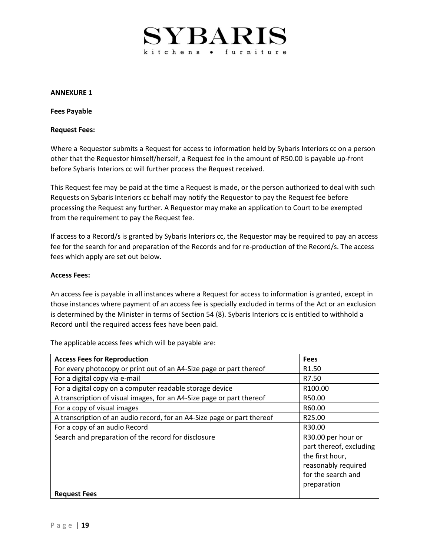#### **ANNEXURE 1**

**Fees Payable**

#### **Request Fees:**

Where a Requestor submits a Request for access to information held by Sybaris Interiors cc on a person other that the Requestor himself/herself, a Request fee in the amount of R50.00 is payable up-front before Sybaris Interiors cc will further process the Request received.

This Request fee may be paid at the time a Request is made, or the person authorized to deal with such Requests on Sybaris Interiors cc behalf may notify the Requestor to pay the Request fee before processing the Request any further. A Requestor may make an application to Court to be exempted from the requirement to pay the Request fee.

If access to a Record/s is granted by Sybaris Interiors cc, the Requestor may be required to pay an access fee for the search for and preparation of the Records and for re-production of the Record/s. The access fees which apply are set out below.

#### **Access Fees:**

An access fee is payable in all instances where a Request for access to information is granted, except in those instances where payment of an access fee is specially excluded in terms of the Act or an exclusion is determined by the Minister in terms of Section 54 (8). Sybaris Interiors cc is entitled to withhold a Record until the required access fees have been paid.

| <b>Access Fees for Reproduction</b>                                     | <b>Fees</b>                                                                                                                  |
|-------------------------------------------------------------------------|------------------------------------------------------------------------------------------------------------------------------|
| For every photocopy or print out of an A4-Size page or part thereof     | R <sub>1.50</sub>                                                                                                            |
| For a digital copy via e-mail                                           | R7.50                                                                                                                        |
| For a digital copy on a computer readable storage device                | R100.00                                                                                                                      |
| A transcription of visual images, for an A4-Size page or part thereof   | R50.00                                                                                                                       |
| For a copy of visual images                                             | R60.00                                                                                                                       |
| A transcription of an audio record, for an A4-Size page or part thereof | R25.00                                                                                                                       |
| For a copy of an audio Record                                           | R30.00                                                                                                                       |
| Search and preparation of the record for disclosure                     | R30.00 per hour or<br>part thereof, excluding<br>the first hour,<br>reasonably required<br>for the search and<br>preparation |
| <b>Request Fees</b>                                                     |                                                                                                                              |

The applicable access fees which will be payable are: